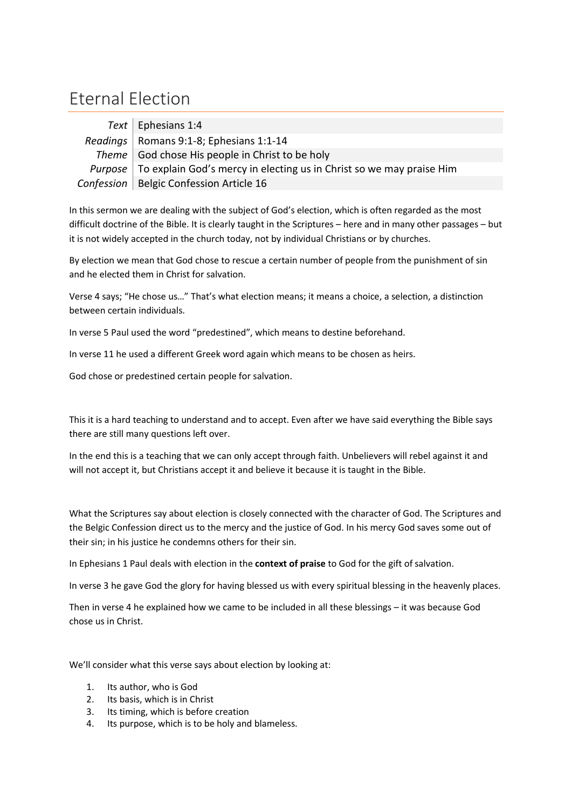## Eternal Election

| Text   Ephesians 1:4                                                           |
|--------------------------------------------------------------------------------|
| Readings   Romans 9:1-8; Ephesians 1:1-14                                      |
| Theme God chose His people in Christ to be holy                                |
| Purpose   To explain God's mercy in electing us in Christ so we may praise Him |
| Confession   Belgic Confession Article 16                                      |

In this sermon we are dealing with the subject of God's election, which is often regarded as the most difficult doctrine of the Bible. It is clearly taught in the Scriptures – here and in many other passages – but it is not widely accepted in the church today, not by individual Christians or by churches.

By election we mean that God chose to rescue a certain number of people from the punishment of sin and he elected them in Christ for salvation.

Verse 4 says; "He chose us…" That's what election means; it means a choice, a selection, a distinction between certain individuals.

In verse 5 Paul used the word "predestined", which means to destine beforehand.

In verse 11 he used a different Greek word again which means to be chosen as heirs.

God chose or predestined certain people for salvation.

This it is a hard teaching to understand and to accept. Even after we have said everything the Bible says there are still many questions left over.

In the end this is a teaching that we can only accept through faith. Unbelievers will rebel against it and will not accept it, but Christians accept it and believe it because it is taught in the Bible.

What the Scriptures say about election is closely connected with the character of God. The Scriptures and the Belgic Confession direct us to the mercy and the justice of God. In his mercy God saves some out of their sin; in his justice he condemns others for their sin.

In Ephesians 1 Paul deals with election in the **context of praise** to God for the gift of salvation.

In verse 3 he gave God the glory for having blessed us with every spiritual blessing in the heavenly places.

Then in verse 4 he explained how we came to be included in all these blessings – it was because God chose us in Christ.

We'll consider what this verse says about election by looking at:

- 1. Its author, who is God
- 2. Its basis, which is in Christ
- 3. Its timing, which is before creation
- 4. Its purpose, which is to be holy and blameless.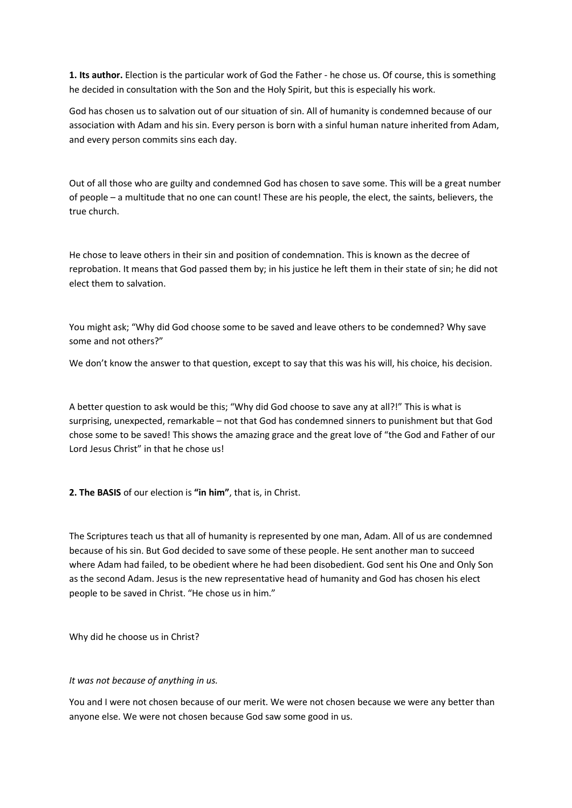**1. Its author.** Election is the particular work of God the Father - he chose us. Of course, this is something he decided in consultation with the Son and the Holy Spirit, but this is especially his work.

God has chosen us to salvation out of our situation of sin. All of humanity is condemned because of our association with Adam and his sin. Every person is born with a sinful human nature inherited from Adam, and every person commits sins each day.

Out of all those who are guilty and condemned God has chosen to save some. This will be a great number of people – a multitude that no one can count! These are his people, the elect, the saints, believers, the true church.

He chose to leave others in their sin and position of condemnation. This is known as the decree of reprobation. It means that God passed them by; in his justice he left them in their state of sin; he did not elect them to salvation.

You might ask; "Why did God choose some to be saved and leave others to be condemned? Why save some and not others?"

We don't know the answer to that question, except to say that this was his will, his choice, his decision.

A better question to ask would be this; "Why did God choose to save any at all?!" This is what is surprising, unexpected, remarkable – not that God has condemned sinners to punishment but that God chose some to be saved! This shows the amazing grace and the great love of "the God and Father of our Lord Jesus Christ" in that he chose us!

**2. The BASIS** of our election is **"in him"**, that is, in Christ.

The Scriptures teach us that all of humanity is represented by one man, Adam. All of us are condemned because of his sin. But God decided to save some of these people. He sent another man to succeed where Adam had failed, to be obedient where he had been disobedient. God sent his One and Only Son as the second Adam. Jesus is the new representative head of humanity and God has chosen his elect people to be saved in Christ. "He chose us in him."

Why did he choose us in Christ?

## *It was not because of anything in us.*

You and I were not chosen because of our merit. We were not chosen because we were any better than anyone else. We were not chosen because God saw some good in us.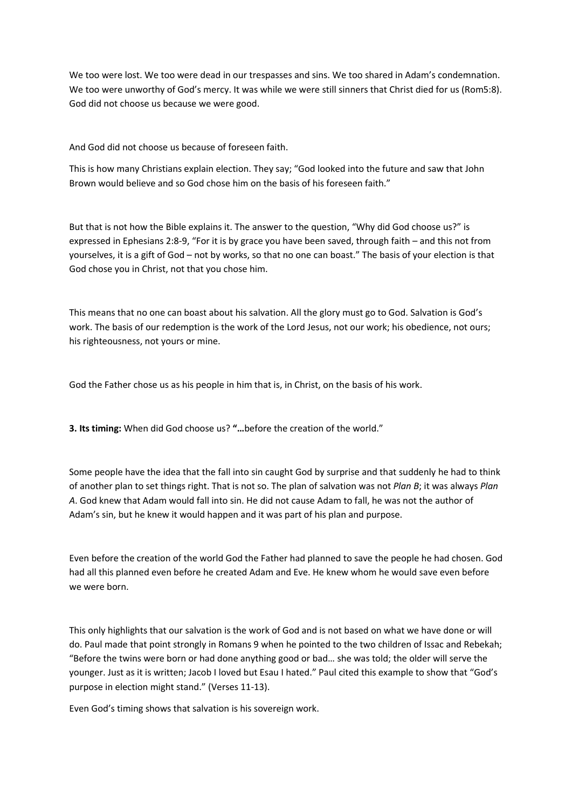We too were lost. We too were dead in our trespasses and sins. We too shared in Adam's condemnation. We too were unworthy of God's mercy. It was while we were still sinners that Christ died for us (Rom5:8). God did not choose us because we were good.

And God did not choose us because of foreseen faith.

This is how many Christians explain election. They say; "God looked into the future and saw that John Brown would believe and so God chose him on the basis of his foreseen faith."

But that is not how the Bible explains it. The answer to the question, "Why did God choose us?" is expressed in Ephesians 2:8-9, "For it is by grace you have been saved, through faith – and this not from yourselves, it is a gift of God – not by works, so that no one can boast." The basis of your election is that God chose you in Christ, not that you chose him.

This means that no one can boast about his salvation. All the glory must go to God. Salvation is God's work. The basis of our redemption is the work of the Lord Jesus, not our work; his obedience, not ours; his righteousness, not yours or mine.

God the Father chose us as his people in him that is, in Christ, on the basis of his work.

**3. Its timing:** When did God choose us? **"…**before the creation of the world."

Some people have the idea that the fall into sin caught God by surprise and that suddenly he had to think of another plan to set things right. That is not so. The plan of salvation was not *Plan B*; it was always *Plan A*. God knew that Adam would fall into sin. He did not cause Adam to fall, he was not the author of Adam's sin, but he knew it would happen and it was part of his plan and purpose.

Even before the creation of the world God the Father had planned to save the people he had chosen. God had all this planned even before he created Adam and Eve. He knew whom he would save even before we were born.

This only highlights that our salvation is the work of God and is not based on what we have done or will do. Paul made that point strongly in Romans 9 when he pointed to the two children of Issac and Rebekah; "Before the twins were born or had done anything good or bad… she was told; the older will serve the younger. Just as it is written; Jacob I loved but Esau I hated." Paul cited this example to show that "God's purpose in election might stand." (Verses 11-13).

Even God's timing shows that salvation is his sovereign work.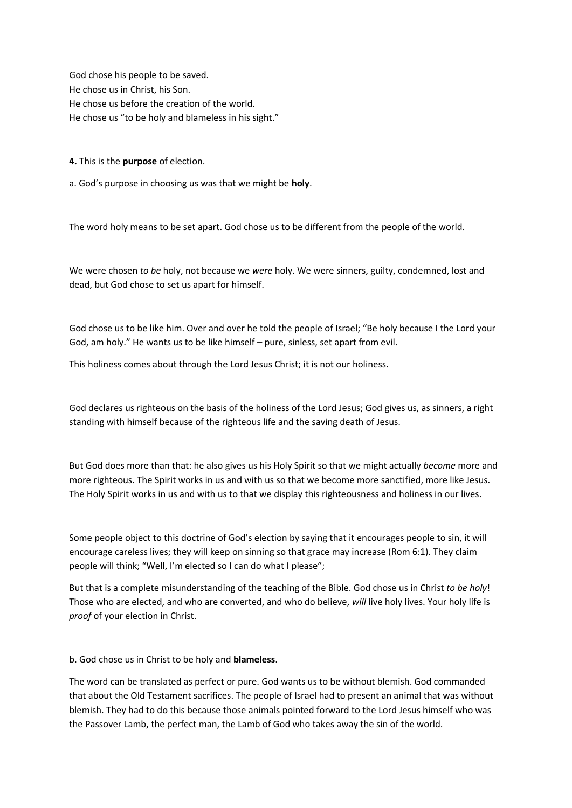God chose his people to be saved. He chose us in Christ, his Son. He chose us before the creation of the world. He chose us "to be holy and blameless in his sight."

**4.** This is the **purpose** of election.

a. God's purpose in choosing us was that we might be **holy**.

The word holy means to be set apart. God chose us to be different from the people of the world.

We were chosen *to be* holy, not because we *were* holy. We were sinners, guilty, condemned, lost and dead, but God chose to set us apart for himself.

God chose us to be like him. Over and over he told the people of Israel; "Be holy because I the Lord your God, am holy." He wants us to be like himself – pure, sinless, set apart from evil.

This holiness comes about through the Lord Jesus Christ; it is not our holiness.

God declares us righteous on the basis of the holiness of the Lord Jesus; God gives us, as sinners, a right standing with himself because of the righteous life and the saving death of Jesus.

But God does more than that: he also gives us his Holy Spirit so that we might actually *become* more and more righteous. The Spirit works in us and with us so that we become more sanctified, more like Jesus. The Holy Spirit works in us and with us to that we display this righteousness and holiness in our lives.

Some people object to this doctrine of God's election by saying that it encourages people to sin, it will encourage careless lives; they will keep on sinning so that grace may increase (Rom 6:1). They claim people will think; "Well, I'm elected so I can do what I please";

But that is a complete misunderstanding of the teaching of the Bible. God chose us in Christ *to be holy*! Those who are elected, and who are converted, and who do believe, *will* live holy lives. Your holy life is *proof* of your election in Christ.

b. God chose us in Christ to be holy and **blameless**.

The word can be translated as perfect or pure. God wants us to be without blemish. God commanded that about the Old Testament sacrifices. The people of Israel had to present an animal that was without blemish. They had to do this because those animals pointed forward to the Lord Jesus himself who was the Passover Lamb, the perfect man, the Lamb of God who takes away the sin of the world.